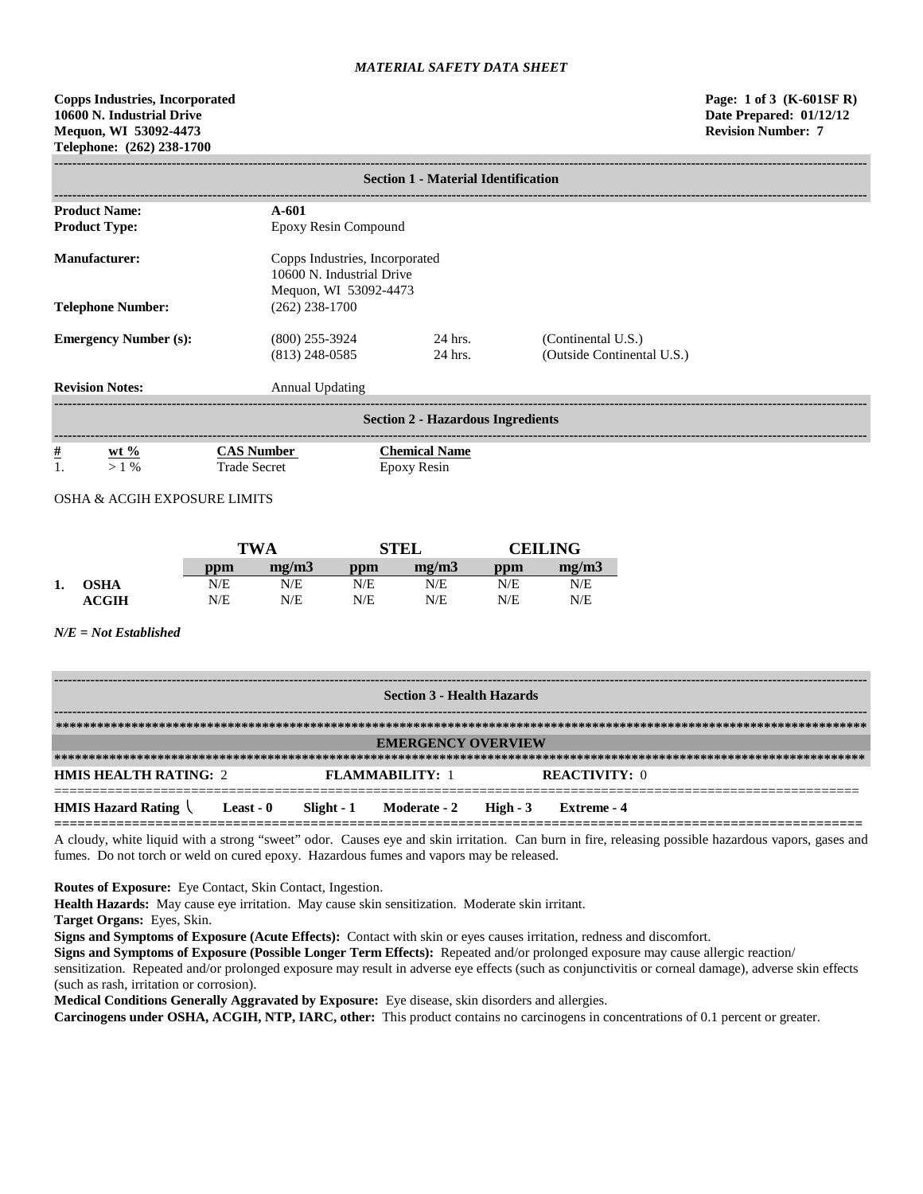**Copps Industries, Incorporated Page: 1 of 3 (K-601SF R) 10600 N. Industrial Drive Date Prepared: 01/12/12 Mequon, WI 53092-4473 Revision Number: 7 Telephone: (262) 238-1700**

| <b>Section 1 - Material Identification</b> |                                          |                                                                                      |                                                  |  |  |  |
|--------------------------------------------|------------------------------------------|--------------------------------------------------------------------------------------|--------------------------------------------------|--|--|--|
| <b>Product Name:</b>                       | $A - 601$                                |                                                                                      |                                                  |  |  |  |
| <b>Product Type:</b>                       | Epoxy Resin Compound                     |                                                                                      |                                                  |  |  |  |
| <b>Manufacturer:</b>                       |                                          | Copps Industries, Incorporated<br>10600 N. Industrial Drive<br>Mequon, WI 53092-4473 |                                                  |  |  |  |
| <b>Telephone Number:</b>                   | $(262)$ 238-1700                         |                                                                                      |                                                  |  |  |  |
| <b>Emergency Number (s):</b>               | $(800)$ 255-3924<br>$(813)$ 248-0585     | 24 hrs.<br>24 hrs.                                                                   | (Continental U.S.)<br>(Outside Continental U.S.) |  |  |  |
| <b>Revision Notes:</b>                     | <b>Annual Updating</b>                   |                                                                                      |                                                  |  |  |  |
| <b>Section 2 - Hazardous Ingredients</b>   |                                          |                                                                                      |                                                  |  |  |  |
| $\frac{\#}{1}$<br>wt $%$<br>$>1\%$         | <b>CAS Number</b><br><b>Trade Secret</b> | <b>Chemical Name</b><br>Epoxy Resin                                                  |                                                  |  |  |  |

OSHA & ACGIH EXPOSURE LIMITS

|    |              |     | <b>TWA</b> |     | <b>STEL</b> |     | <b>CEILING</b> |  |
|----|--------------|-----|------------|-----|-------------|-----|----------------|--|
|    |              | ppm | mg/m3      | ppm | mg/m3       | ppm | mg/m3          |  |
| 1. | <b>OSHA</b>  | N/E | N/E        | N/E | N/E         | N/E | N/E            |  |
|    | <b>ACGIH</b> | N/E | N/E        | N/E | N/E         | N/E | N/E            |  |

*N/E = Not Established*

| <b>Section 3 - Health Hazards</b>                                                         |                                                                                |  |                           |  |             |  |
|-------------------------------------------------------------------------------------------|--------------------------------------------------------------------------------|--|---------------------------|--|-------------|--|
|                                                                                           |                                                                                |  |                           |  |             |  |
|                                                                                           |                                                                                |  | <b>EMERGENCY OVERVIEW</b> |  |             |  |
|                                                                                           |                                                                                |  |                           |  |             |  |
|                                                                                           | <b>HMIS HEALTH RATING: 2</b><br><b>REACTIVITY: 0</b><br><b>FLAMMARILITY: 1</b> |  |                           |  |             |  |
| <b>HMIS Hazard Rating <math>\langle</math> Least - 0</b> Slight - 1 Moderate - 2 High - 3 |                                                                                |  |                           |  | Extreme - 4 |  |

A cloudy, white liquid with a strong "sweet" odor. Causes eye and skin irritation. Can burn in fire, releasing possible hazardous vapors, gases and fumes. Do not torch or weld on cured epoxy. Hazardous fumes and vapors may be released.

**Routes of Exposure:** Eye Contact, Skin Contact, Ingestion.

**Health Hazards:** May cause eye irritation. May cause skin sensitization. Moderate skin irritant.

**Target Organs:** Eyes, Skin.

**Signs and Symptoms of Exposure (Acute Effects):** Contact with skin or eyes causes irritation, redness and discomfort.

**Signs and Symptoms of Exposure (Possible Longer Term Effects):** Repeated and/or prolonged exposure may cause allergic reaction/

sensitization. Repeated and/or prolonged exposure may result in adverse eye effects (such as conjunctivitis or corneal damage), adverse skin effects (such as rash, irritation or corrosion).

**Medical Conditions Generally Aggravated by Exposure:** Eye disease, skin disorders and allergies.

**Carcinogens under OSHA, ACGIH, NTP, IARC, other:** This product contains no carcinogens in concentrations of 0.1 percent or greater.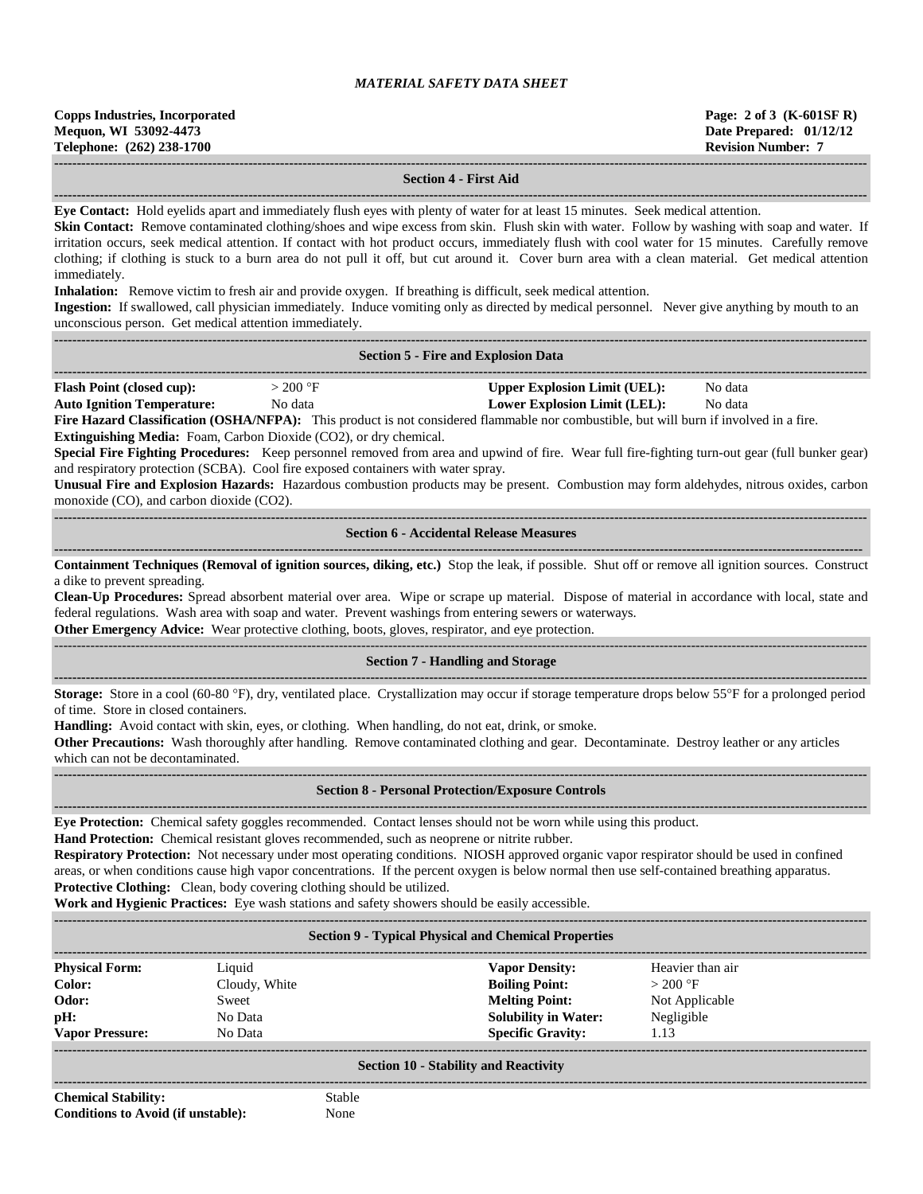#### **Section 4 - First Aid**

**------------------------------------------------------------------------------------------------------------------------------------------------------------------------------------**

**Eye Contact:** Hold eyelids apart and immediately flush eyes with plenty of water for at least 15 minutes. Seek medical attention.

**Skin Contact:** Remove contaminated clothing/shoes and wipe excess from skin. Flush skin with water. Follow by washing with soap and water. If irritation occurs, seek medical attention. If contact with hot product occurs, immediately flush with cool water for 15 minutes. Carefully remove clothing; if clothing is stuck to a burn area do not pull it off, but cut around it. Cover burn area with a clean material. Get medical attention immediately.

**Inhalation:** Remove victim to fresh air and provide oxygen. If breathing is difficult, seek medical attention.

**Ingestion:** If swallowed, call physician immediately. Induce vomiting only as directed by medical personnel. Never give anything by mouth to an unconscious person. Get medical attention immediately.

|                                                                                                                                                                                                                                                                                                                                                                                                                                                                                                                                                                                                                                                                                                                                                                                                                                                 |                                                                                                                                                                                                                                                                                                                                                                                                                                                                                   | <b>Section 5 - Fire and Explosion Data</b>                                                                                                                                                                  |  |  |  |  |
|-------------------------------------------------------------------------------------------------------------------------------------------------------------------------------------------------------------------------------------------------------------------------------------------------------------------------------------------------------------------------------------------------------------------------------------------------------------------------------------------------------------------------------------------------------------------------------------------------------------------------------------------------------------------------------------------------------------------------------------------------------------------------------------------------------------------------------------------------|-----------------------------------------------------------------------------------------------------------------------------------------------------------------------------------------------------------------------------------------------------------------------------------------------------------------------------------------------------------------------------------------------------------------------------------------------------------------------------------|-------------------------------------------------------------------------------------------------------------------------------------------------------------------------------------------------------------|--|--|--|--|
| <b>Upper Explosion Limit (UEL):</b><br><b>Flash Point (closed cup):</b><br>$>200$ °F<br>No data<br><b>Auto Ignition Temperature:</b><br><b>Lower Explosion Limit (LEL):</b><br>No data<br>No data<br>Fire Hazard Classification (OSHA/NFPA): This product is not considered flammable nor combustible, but will burn if involved in a fire.<br>Extinguishing Media: Foam, Carbon Dioxide (CO2), or dry chemical.<br>Special Fire Fighting Procedures: Keep personnel removed from area and upwind of fire. Wear full fire-fighting turn-out gear (full bunker gear)<br>and respiratory protection (SCBA). Cool fire exposed containers with water spray.<br>Unusual Fire and Explosion Hazards: Hazardous combustion products may be present. Combustion may form aldehydes, nitrous oxides, carbon<br>monoxide (CO), and carbon dioxide (CO2). |                                                                                                                                                                                                                                                                                                                                                                                                                                                                                   |                                                                                                                                                                                                             |  |  |  |  |
|                                                                                                                                                                                                                                                                                                                                                                                                                                                                                                                                                                                                                                                                                                                                                                                                                                                 |                                                                                                                                                                                                                                                                                                                                                                                                                                                                                   | <b>Section 6 - Accidental Release Measures</b>                                                                                                                                                              |  |  |  |  |
| Containment Techniques (Removal of ignition sources, diking, etc.) Stop the leak, if possible. Shut off or remove all ignition sources. Construct<br>a dike to prevent spreading.<br>Clean-Up Procedures: Spread absorbent material over area. Wipe or scrape up material. Dispose of material in accordance with local, state and<br>federal regulations. Wash area with soap and water. Prevent washings from entering sewers or waterways.<br>Other Emergency Advice: Wear protective clothing, boots, gloves, respirator, and eye protection.                                                                                                                                                                                                                                                                                               |                                                                                                                                                                                                                                                                                                                                                                                                                                                                                   |                                                                                                                                                                                                             |  |  |  |  |
|                                                                                                                                                                                                                                                                                                                                                                                                                                                                                                                                                                                                                                                                                                                                                                                                                                                 |                                                                                                                                                                                                                                                                                                                                                                                                                                                                                   | <b>Section 7 - Handling and Storage</b>                                                                                                                                                                     |  |  |  |  |
|                                                                                                                                                                                                                                                                                                                                                                                                                                                                                                                                                                                                                                                                                                                                                                                                                                                 | Storage: Store in a cool (60-80 °F), dry, ventilated place. Crystallization may occur if storage temperature drops below 55°F for a prolonged period<br>of time. Store in closed containers.<br>Handling: Avoid contact with skin, eyes, or clothing. When handling, do not eat, drink, or smoke.<br>Other Precautions: Wash thoroughly after handling. Remove contaminated clothing and gear. Decontaminate. Destroy leather or any articles<br>which can not be decontaminated. |                                                                                                                                                                                                             |  |  |  |  |
|                                                                                                                                                                                                                                                                                                                                                                                                                                                                                                                                                                                                                                                                                                                                                                                                                                                 |                                                                                                                                                                                                                                                                                                                                                                                                                                                                                   | <b>Section 8 - Personal Protection/Exposure Controls</b>                                                                                                                                                    |  |  |  |  |
| Eye Protection: Chemical safety goggles recommended. Contact lenses should not be worn while using this product.<br>Hand Protection: Chemical resistant gloves recommended, such as neoprene or nitrite rubber.<br>Respiratory Protection: Not necessary under most operating conditions. NIOSH approved organic vapor respirator should be used in confined<br>areas, or when conditions cause high vapor concentrations. If the percent oxygen is below normal then use self-contained breathing apparatus.<br>Protective Clothing: Clean, body covering clothing should be utilized.<br>Work and Hygienic Practices: Eye wash stations and safety showers should be easily accessible.                                                                                                                                                       |                                                                                                                                                                                                                                                                                                                                                                                                                                                                                   |                                                                                                                                                                                                             |  |  |  |  |
|                                                                                                                                                                                                                                                                                                                                                                                                                                                                                                                                                                                                                                                                                                                                                                                                                                                 |                                                                                                                                                                                                                                                                                                                                                                                                                                                                                   | <b>Section 9 - Typical Physical and Chemical Properties</b>                                                                                                                                                 |  |  |  |  |
| <b>Physical Form:</b><br>Color:<br>Odor:<br>pH:<br><b>Vapor Pressure:</b>                                                                                                                                                                                                                                                                                                                                                                                                                                                                                                                                                                                                                                                                                                                                                                       | Liquid<br>Cloudy, White<br>Sweet<br>No Data<br>No Data                                                                                                                                                                                                                                                                                                                                                                                                                            | <b>Vapor Density:</b><br>Heavier than air<br>$>200$ °F<br><b>Boiling Point:</b><br><b>Melting Point:</b><br>Not Applicable<br><b>Solubility in Water:</b><br>Negligible<br><b>Specific Gravity:</b><br>1.13 |  |  |  |  |

### **Section 10 - Stability and Reactivity**

**------------------------------------------------------------------------------------------------------------------------------------------------------------------------------------ Chemical Stability:** Stable **Conditions to Avoid (if unstable):** None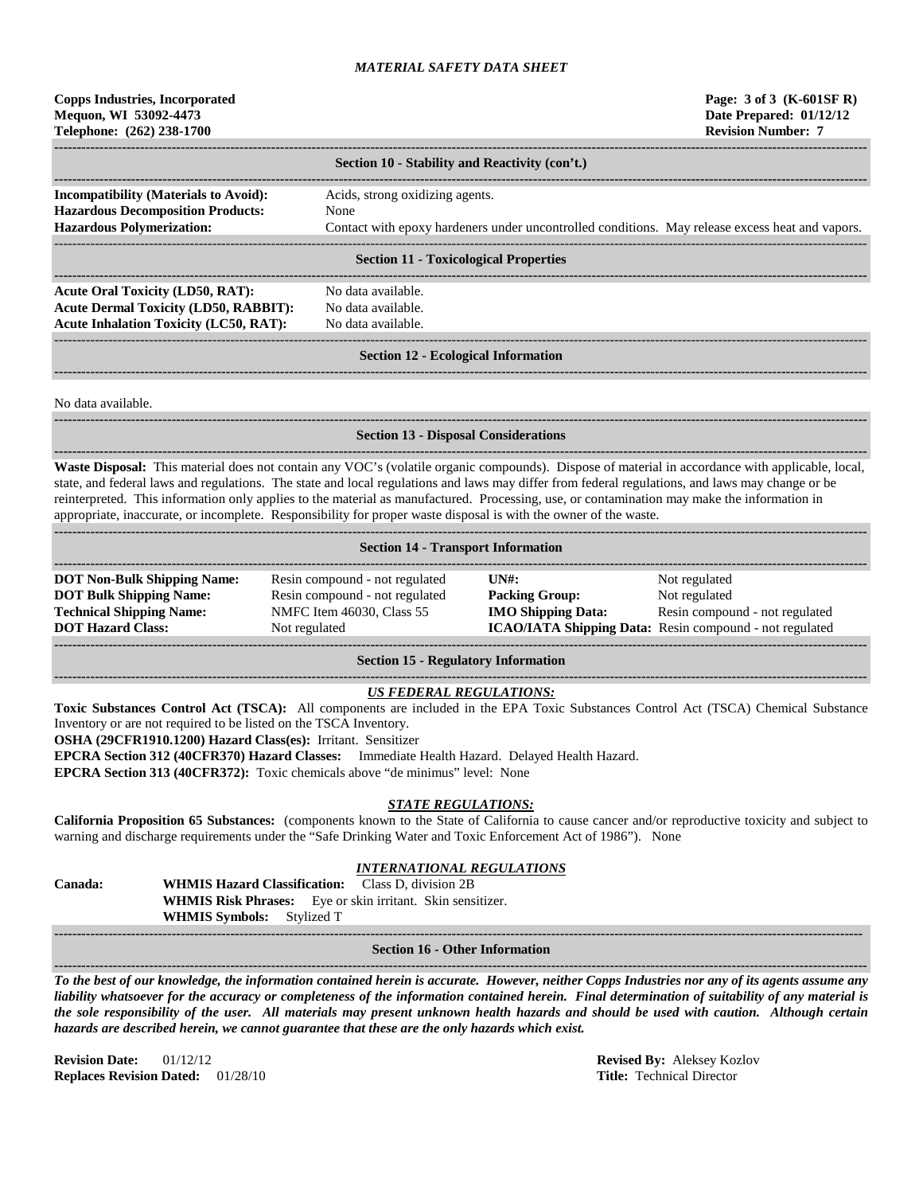### **Copps Industries, Incorporated Page: 3 of 3 (K-601SF R) Mequon, WI 53092-4473 Date Prepared: 01/12/12 Telephone: (262) 238-1700 Revision Number: 7**

|                                                                                                                              | Section 10 - Stability and Reactivity (con't.)                                                                                                    |
|------------------------------------------------------------------------------------------------------------------------------|---------------------------------------------------------------------------------------------------------------------------------------------------|
| <b>Incompatibility (Materials to Avoid):</b><br><b>Hazardous Decomposition Products:</b><br><b>Hazardous Polymerization:</b> | Acids, strong oxidizing agents.<br><b>None</b><br>Contact with epoxy hardeners under uncontrolled conditions. May release excess heat and vapors. |
|                                                                                                                              | <b>Section 11 - Toxicological Properties</b>                                                                                                      |
| <b>Acute Oral Toxicity (LD50, RAT):</b>                                                                                      | No data available.                                                                                                                                |

**Acute Dermal Toxicity (LD50, RABBIT):** No data available. Acute Inhalation Toxicity (LC50, RAT): No data available.

------------------------------------------------------------------------------------------------------------------------------------------------------------------------------------ **Section 12 - Ecological Information ------------------------------------------------------------------------------------------------------------------------------------------------------------------------------------**

No data available.

# **------------------------------------------------------------------------------------------------------------------------------------------------------------------------------------**

### **Section 13 - Disposal Considerations**

**------------------------------------------------------------------------------------------------------------------------------------------------------------------------------------ Waste Disposal:** This material does not contain any VOC's (volatile organic compounds). Dispose of material in accordance with applicable, local, state, and federal laws and regulations. The state and local regulations and laws may differ from federal regulations, and laws may change or be reinterpreted. This information only applies to the material as manufactured. Processing, use, or contamination may make the information in appropriate, inaccurate, or incomplete. Responsibility for proper waste disposal is with the owner of the waste. **------------------------------------------------------------------------------------------------------------------------------------------------------------------------------------**

|  |  | <b>Section 14 - Transport Information</b> |
|--|--|-------------------------------------------|
|--|--|-------------------------------------------|

| <b>DOT Non-Bulk Shipping Name:</b> | Resin compound - not regulated | $\overline{I} \overline{N}$ : | Not regulated                                                  |
|------------------------------------|--------------------------------|-------------------------------|----------------------------------------------------------------|
| <b>DOT Bulk Shipping Name:</b>     | Resin compound - not regulated | <b>Packing Group:</b>         | Not regulated                                                  |
| <b>Technical Shipping Name:</b>    | NMFC Item 46030, Class 55      | <b>IMO Shipping Data:</b>     | Resin compound - not regulated                                 |
| <b>DOT Hazard Class:</b>           | Not regulated                  |                               | <b>ICAO/IATA Shipping Data:</b> Resin compound - not regulated |
|                                    |                                |                               |                                                                |

#### **Section 15 - Regulatory Information**

#### **------------------------------------------------------------------------------------------------------------------------------------------------------------------------------------** *US FEDERAL REGULATIONS:*

**Toxic Substances Control Act (TSCA):** All components are included in the EPA Toxic Substances Control Act (TSCA) Chemical Substance Inventory or are not required to be listed on the TSCA Inventory.

**OSHA (29CFR1910.1200) Hazard Class(es):** Irritant. Sensitizer

**EPCRA Section 312 (40CFR370) Hazard Classes:** Immediate Health Hazard. Delayed Health Hazard.

**EPCRA Section 313 (40CFR372):** Toxic chemicals above "de minimus" level: None

# *STATE REGULATIONS:*

**California Proposition 65 Substances:** (components known to the State of California to cause cancer and/or reproductive toxicity and subject to warning and discharge requirements under the "Safe Drinking Water and Toxic Enforcement Act of 1986"). None

#### *INTERNATIONAL REGULATIONS*

| <b>Canada:</b> | <b>WHMIS Hazard Classification:</b> Class D. division 2B |                                                                   |
|----------------|----------------------------------------------------------|-------------------------------------------------------------------|
|                |                                                          | <b>WHMIS Risk Phrases:</b> Eye or skin irritant. Skin sensitizer. |
|                | <b>WHMIS Symbols:</b> Stylized T                         |                                                                   |

**----------------------------------------------------------------------------------------------------------------------------------------------------------------------------------- Section 16 - Other Information ------------------------------------------------------------------------------------------------------------------------------------------------------------------------------------**

*To the best of our knowledge, the information contained herein is accurate. However, neither Copps Industries nor any of its agents assume any liability whatsoever for the accuracy or completeness of the information contained herein. Final determination of suitability of any material is the sole responsibility of the user. All materials may present unknown health hazards and should be used with caution. Although certain hazards are described herein, we cannot guarantee that these are the only hazards which exist.*

**Revision Date:** 01/12/12 **Revised By:** Aleksey Kozlov **Replaces Revision Dated:** 01/28/10 **Title:** Technical Director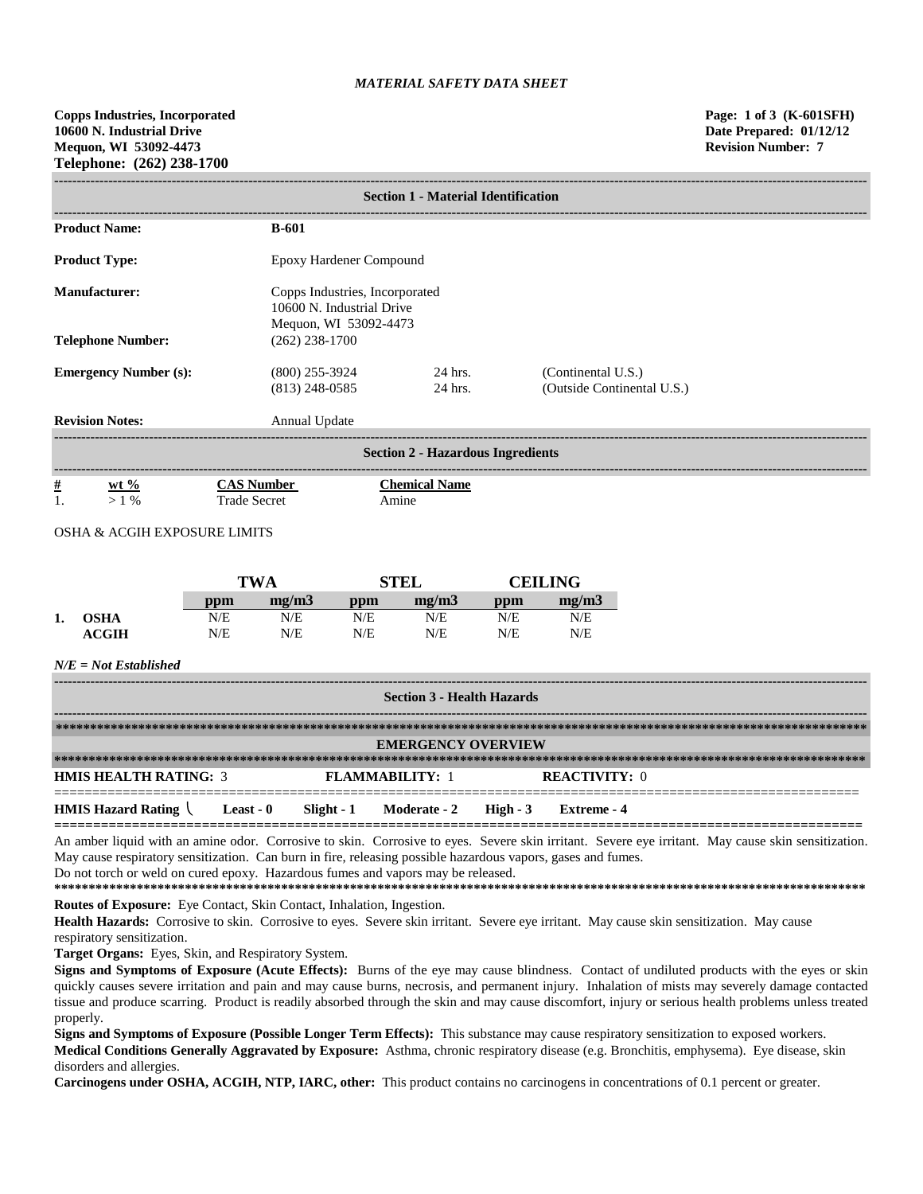**------------------------------------------------------------------------------------------------------------------------------------------------------------------------------------**

|                                                                                                                   |                                          | <b>Section 1 - Material Identification</b>                                           |                                                  |  |  |  |
|-------------------------------------------------------------------------------------------------------------------|------------------------------------------|--------------------------------------------------------------------------------------|--------------------------------------------------|--|--|--|
| <b>Product Name:</b>                                                                                              | <b>B-601</b>                             |                                                                                      |                                                  |  |  |  |
| <b>Product Type:</b>                                                                                              | Epoxy Hardener Compound                  |                                                                                      |                                                  |  |  |  |
| <b>Manufacturer:</b>                                                                                              |                                          | Copps Industries, Incorporated<br>10600 N. Industrial Drive<br>Mequon, WI 53092-4473 |                                                  |  |  |  |
| <b>Telephone Number:</b>                                                                                          | $(262)$ 238-1700                         |                                                                                      |                                                  |  |  |  |
| <b>Emergency Number (s):</b>                                                                                      | $(800)$ 255-3924<br>$(813)$ 248-0585     | 24 hrs.<br>24 hrs.                                                                   | (Continental U.S.)<br>(Outside Continental U.S.) |  |  |  |
| <b>Revision Notes:</b>                                                                                            | Annual Update                            |                                                                                      |                                                  |  |  |  |
|                                                                                                                   |                                          | <b>Section 2 - Hazardous Ingredients</b>                                             |                                                  |  |  |  |
| $\frac{\#}{1}$<br>$\frac{\text{wt } 96}{>1 \%}$<br>$O(1)$ $O(1)$ $O(1)$ $O(1)$ $O(1)$ $O(1)$ $O(1)$ $O(1)$ $O(1)$ | <b>CAS Number</b><br><b>Trade Secret</b> | <b>Chemical Name</b><br>Amine                                                        |                                                  |  |  |  |

# OSHA & ACGIH EXPOSURE LIMITS

|    |             |     | <b>TWA</b> |     | <b>STEL</b> |     | CEILING |  |
|----|-------------|-----|------------|-----|-------------|-----|---------|--|
|    |             | ppm | me/m3      | ppm | mg/m3       | ppm | mg/m3   |  |
| 1. | <b>OSHA</b> | N/E | N/E        | N/E | N/E         | N/E | N/E     |  |
|    | ACGIH       | N/E | N/E        | N/E | N/E         | N/E | N/E     |  |

### *N/E = Not Established*

| <b>Section 3 - Health Hazards</b>              |           |  |                                  |  |                      |  |
|------------------------------------------------|-----------|--|----------------------------------|--|----------------------|--|
|                                                |           |  |                                  |  |                      |  |
|                                                |           |  | <b>EMERGENCY OVERVIEW</b>        |  |                      |  |
|                                                |           |  |                                  |  |                      |  |
| <b>HMIS HEALTH RATING: 3</b>                   |           |  | <b>FLAMMARILITY: 1</b>           |  | <b>REACTIVITY: 0</b> |  |
| <b>HMIS Hazard Rating <math>\langle</math></b> | Least - 0 |  | Slight - 1 Moderate - 2 High - 3 |  | Extreme - 4          |  |

An amber liquid with an amine odor. Corrosive to skin. Corrosive to eyes. Severe skin irritant. Severe eye irritant. May cause skin sensitization. May cause respiratory sensitization. Can burn in fire, releasing possible hazardous vapors, gases and fumes. Do not torch or weld on cured epoxy. Hazardous fumes and vapors may be released.

**\*\*\*\*\*\*\*\*\*\*\*\*\*\*\*\*\*\*\*\*\*\*\*\*\*\*\*\*\*\*\*\*\*\*\*\*\*\*\*\*\*\*\*\*\*\*\*\*\*\*\*\*\*\*\*\*\*\*\*\*\*\*\*\*\*\*\*\*\*\*\*\*\*\*\*\*\*\*\*\*\*\*\*\*\*\*\*\*\*\*\*\*\*\*\*\*\*\*\*\*\*\*\*\*\*\*\*\*\*\*\*\*\*\*\*\*\*\***

**Routes of Exposure:** Eye Contact, Skin Contact, Inhalation, Ingestion.

Health Hazards: Corrosive to skin. Corrosive to eyes. Severe skin irritant. Severe eye irritant. May cause skin sensitization. May cause respiratory sensitization.

**Target Organs:** Eyes, Skin, and Respiratory System.

**Signs and Symptoms of Exposure (Acute Effects):** Burns of the eye may cause blindness. Contact of undiluted products with the eyes or skin quickly causes severe irritation and pain and may cause burns, necrosis, and permanent injury. Inhalation of mists may severely damage contacted tissue and produce scarring. Product is readily absorbed through the skin and may cause discomfort, injury or serious health problems unless treated properly.

**Signs and Symptoms of Exposure (Possible Longer Term Effects):** This substance may cause respiratory sensitization to exposed workers. **Medical Conditions Generally Aggravated by Exposure:** Asthma, chronic respiratory disease (e.g. Bronchitis, emphysema). Eye disease, skin disorders and allergies.

**Carcinogens under OSHA, ACGIH, NTP, IARC, other:** This product contains no carcinogens in concentrations of 0.1 percent or greater.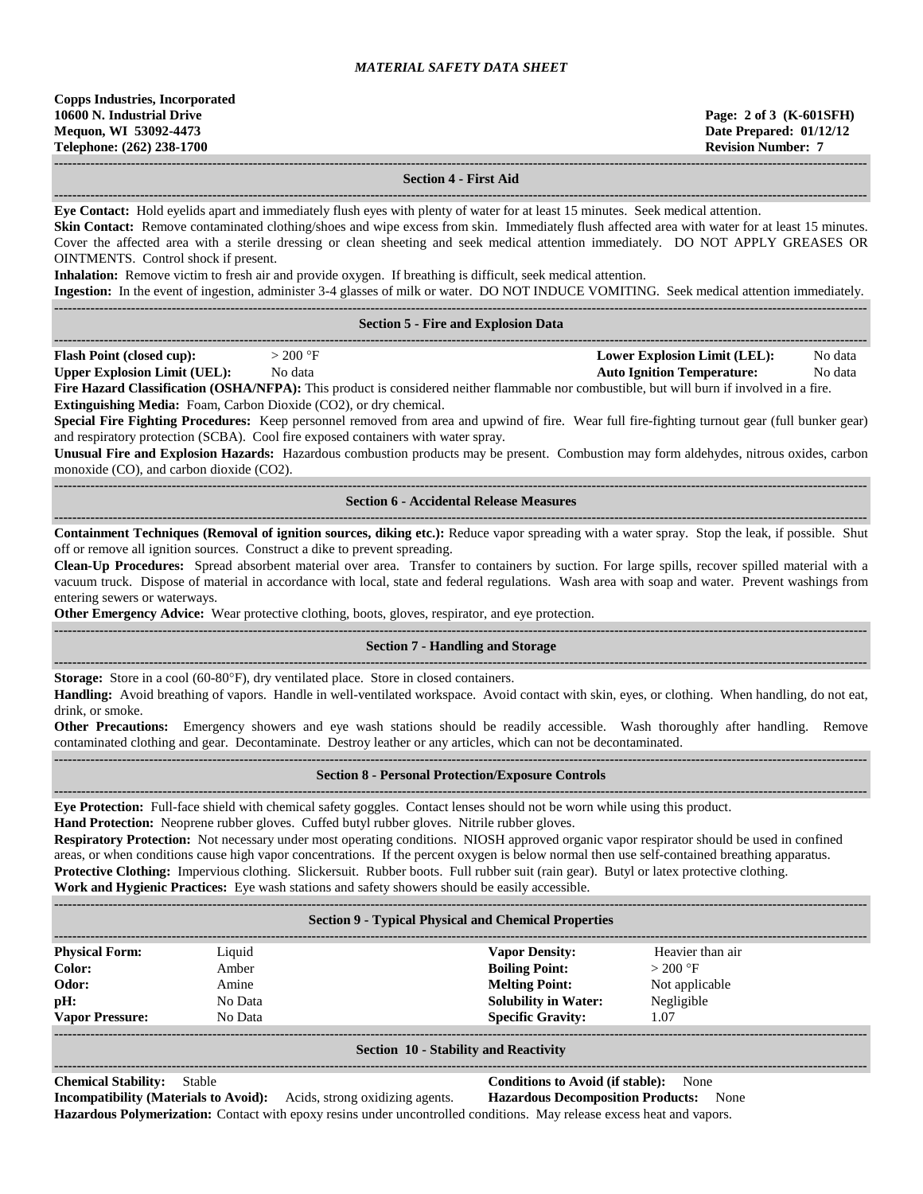**------------------------------------------------------------------------------------------------------------------------------------------------------------------------------------ Section 4 - First Aid**

**------------------------------------------------------------------------------------------------------------------------------------------------------------------------------------ Eye Contact:** Hold eyelids apart and immediately flush eyes with plenty of water for at least 15 minutes. Seek medical attention. **Skin Contact:** Remove contaminated clothing/shoes and wipe excess from skin. Immediately flush affected area with water for at least 15 minutes. Cover the affected area with a sterile dressing or clean sheeting and seek medical attention immediately. DO NOT APPLY GREASES OR OINTMENTS. Control shock if present. **Inhalation:** Remove victim to fresh air and provide oxygen. If breathing is difficult, seek medical attention. **Ingestion:** In the event of ingestion, administer 3-4 glasses of milk or water. DO NOT INDUCE VOMITING. Seek medical attention immediately. **------------------------------------------------------------------------------------------------------------------------------------------------------------------------------------ Section 5 - Fire and Explosion Data ------------------------------------------------------------------------------------------------------------------------------------------------------------------------------------ Flash Point (closed cup):**  $> 200 \text{ °F}$  **Lower Explosion Limit (LEL):** No data **Upper Explosion Limit (UEL):** No data **Auto Ignition Temperature:** No data **Fire Hazard Classification (OSHA/NFPA):** This product is considered neither flammable nor combustible, but will burn if involved in a fire. **Extinguishing Media:** Foam, Carbon Dioxide (CO2), or dry chemical. **Special Fire Fighting Procedures:** Keep personnel removed from area and upwind of fire. Wear full fire-fighting turnout gear (full bunker gear) and respiratory protection (SCBA). Cool fire exposed containers with water spray. **Unusual Fire and Explosion Hazards:** Hazardous combustion products may be present. Combustion may form aldehydes, nitrous oxides, carbon monoxide (CO), and carbon dioxide (CO2). **------------------------------------------------------------------------------------------------------------------------------------------------------------------------------------ Section 6 - Accidental Release Measures ------------------------------------------------------------------------------------------------------------------------------------------------------------------------------------ Containment Techniques (Removal of ignition sources, diking etc.):** Reduce vapor spreading with a water spray. Stop the leak, if possible. Shut off or remove all ignition sources. Construct a dike to prevent spreading. **Clean-Up Procedures:** Spread absorbent material over area. Transfer to containers by suction. For large spills, recover spilled material with a vacuum truck. Dispose of material in accordance with local, state and federal regulations. Wash area with soap and water. Prevent washings from entering sewers or waterways. **Other Emergency Advice:** Wear protective clothing, boots, gloves, respirator, and eye protection. **------------------------------------------------------------------------------------------------------------------------------------------------------------------------------------ Section 7 - Handling and Storage ------------------------------------------------------------------------------------------------------------------------------------------------------------------------------------ Storage:** Store in a cool (60-80°F), dry ventilated place. Store in closed containers. **Handling:** Avoid breathing of vapors. Handle in well-ventilated workspace. Avoid contact with skin, eyes, or clothing. When handling, do not eat, drink, or smoke. **Other Precautions:** Emergency showers and eye wash stations should be readily accessible. Wash thoroughly after handling. Remove contaminated clothing and gear. Decontaminate. Destroy leather or any articles, which can not be decontaminated. **------------------------------------------------------------------------------------------------------------------------------------------------------------------------------------ Section 8 - Personal Protection/Exposure Controls ------------------------------------------------------------------------------------------------------------------------------------------------------------------------------------ Eye Protection:** Full-face shield with chemical safety goggles. Contact lenses should not be worn while using this product. **Hand Protection:** Neoprene rubber gloves. Cuffed butyl rubber gloves. Nitrile rubber gloves. **Respiratory Protection:** Not necessary under most operating conditions. NIOSH approved organic vapor respirator should be used in confined areas, or when conditions cause high vapor concentrations. If the percent oxygen is below normal then use self-contained breathing apparatus. **Protective Clothing:** Impervious clothing. Slickersuit. Rubber boots. Full rubber suit (rain gear). Butyl or latex protective clothing. **Work and Hygienic Practices:** Eye wash stations and safety showers should be easily accessible. **------------------------------------------------------------------------------------------------------------------------------------------------------------------------------------ Section 9 - Typical Physical and Chemical Properties ------------------------------------------------------------------------------------------------------------------------------------------------------------------------------------ Physical Form:** Liquid **Vapor Density:** Heavier than air **Color:** Amber **Amber Boiling Point:**  $> 200$  °F **Odor:** Amine **Melting Point:** Not applicable **pH:** No Data **Solubility in Water:** Negligible **Vapor Pressure:** No Data **Specific Gravity:** 1.07 **------------------------------------------------------------------------------------------------------------------------------------------------------------------------------------**

#### **Section 10 - Stability and Reactivity**

**------------------------------------------------------------------------------------------------------------------------------------------------------------------------------------**

#### **Chemical Stability:** Stable **Conditions to Avoid (if stable):** None

**Incompatibility (Materials to Avoid):** Acids, strong oxidizing agents. **Hazardous Decomposition Products:** None **Hazardous Polymerization:** Contact with epoxy resins under uncontrolled conditions. May release excess heat and vapors.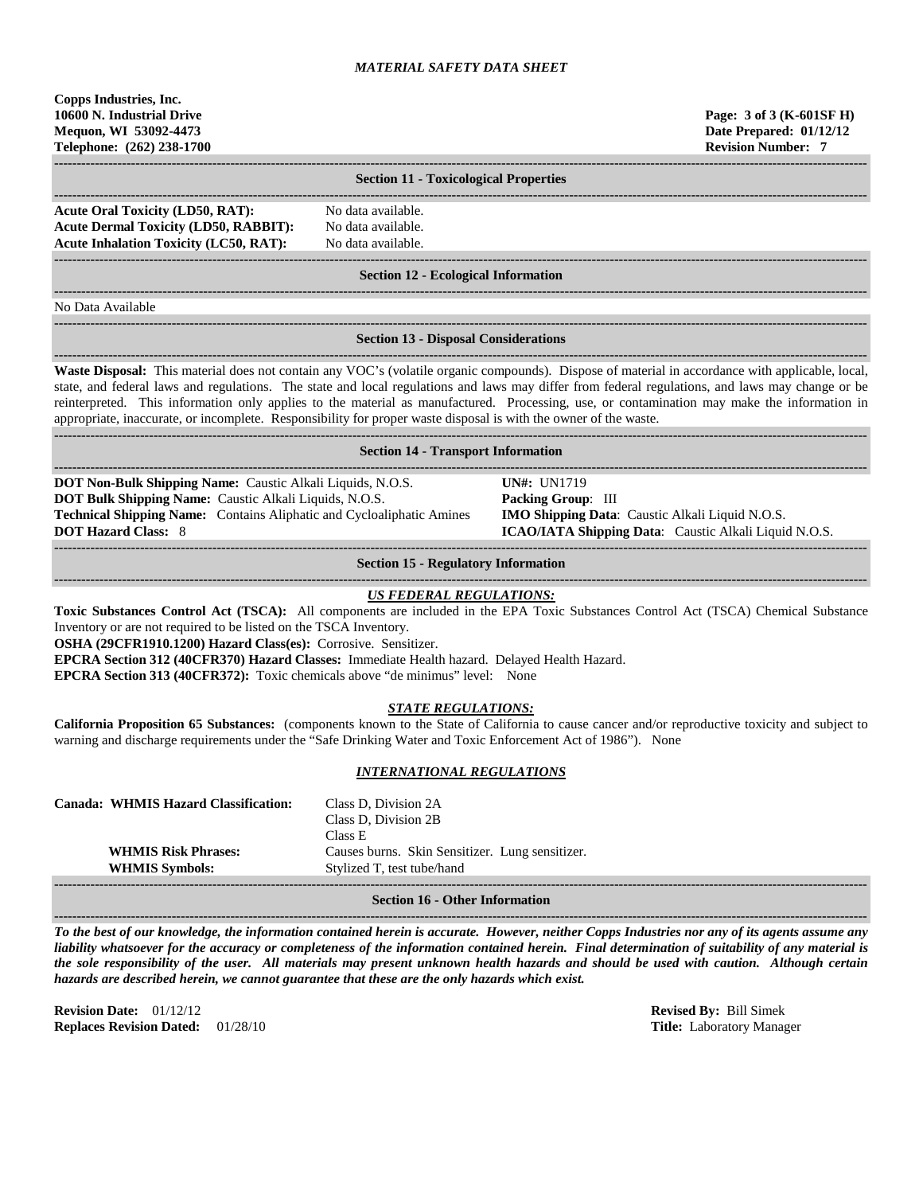| Copps Industries, Inc.<br>10600 N. Industrial Drive<br>Mequon, WI 53092-4473<br>Telephone: (262) 238-1700                                                                                                                                                                                                                                                                                                                                                                                                                                                               |                                                                                                                                                                                                                                                                                                                                                        |  | Page: 3 of 3 (K-601SF H)<br>Date Prepared: 01/12/12<br><b>Revision Number: 7</b> |  |  |
|-------------------------------------------------------------------------------------------------------------------------------------------------------------------------------------------------------------------------------------------------------------------------------------------------------------------------------------------------------------------------------------------------------------------------------------------------------------------------------------------------------------------------------------------------------------------------|--------------------------------------------------------------------------------------------------------------------------------------------------------------------------------------------------------------------------------------------------------------------------------------------------------------------------------------------------------|--|----------------------------------------------------------------------------------|--|--|
|                                                                                                                                                                                                                                                                                                                                                                                                                                                                                                                                                                         | <b>Section 11 - Toxicological Properties</b>                                                                                                                                                                                                                                                                                                           |  |                                                                                  |  |  |
| <b>Acute Oral Toxicity (LD50, RAT):</b><br><b>Acute Dermal Toxicity (LD50, RABBIT):</b><br><b>Acute Inhalation Toxicity (LC50, RAT):</b>                                                                                                                                                                                                                                                                                                                                                                                                                                | No data available.<br>No data available.<br>No data available.                                                                                                                                                                                                                                                                                         |  |                                                                                  |  |  |
|                                                                                                                                                                                                                                                                                                                                                                                                                                                                                                                                                                         | <b>Section 12 - Ecological Information</b>                                                                                                                                                                                                                                                                                                             |  |                                                                                  |  |  |
| No Data Available                                                                                                                                                                                                                                                                                                                                                                                                                                                                                                                                                       |                                                                                                                                                                                                                                                                                                                                                        |  |                                                                                  |  |  |
|                                                                                                                                                                                                                                                                                                                                                                                                                                                                                                                                                                         | <b>Section 13 - Disposal Considerations</b>                                                                                                                                                                                                                                                                                                            |  |                                                                                  |  |  |
| Waste Disposal: This material does not contain any VOC's (volatile organic compounds). Dispose of material in accordance with applicable, local,<br>state, and federal laws and regulations. The state and local regulations and laws may differ from federal regulations, and laws may change or be<br>reinterpreted. This information only applies to the material as manufactured. Processing, use, or contamination may make the information in<br>appropriate, inaccurate, or incomplete. Responsibility for proper waste disposal is with the owner of the waste. |                                                                                                                                                                                                                                                                                                                                                        |  |                                                                                  |  |  |
|                                                                                                                                                                                                                                                                                                                                                                                                                                                                                                                                                                         | <b>Section 14 - Transport Information</b>                                                                                                                                                                                                                                                                                                              |  |                                                                                  |  |  |
| <b>DOT Hazard Class: 8</b>                                                                                                                                                                                                                                                                                                                                                                                                                                                                                                                                              | DOT Non-Bulk Shipping Name: Caustic Alkali Liquids, N.O.S.<br><b>UN#</b> : UN1719<br>DOT Bulk Shipping Name: Caustic Alkali Liquids, N.O.S.<br>Packing Group: III<br>Technical Shipping Name: Contains Aliphatic and Cycloaliphatic Amines<br>IMO Shipping Data: Caustic Alkali Liquid N.O.S.<br>ICAO/IATA Shipping Data: Caustic Alkali Liquid N.O.S. |  |                                                                                  |  |  |
|                                                                                                                                                                                                                                                                                                                                                                                                                                                                                                                                                                         | <b>Section 15 - Regulatory Information</b>                                                                                                                                                                                                                                                                                                             |  |                                                                                  |  |  |
| Toxic Substances Control Act (TSCA): All components are included in the EPA Toxic Substances Control Act (TSCA) Chemical Substance<br>Inventory or are not required to be listed on the TSCA Inventory.<br>OSHA (29CFR1910.1200) Hazard Class(es): Corrosive. Sensitizer.<br>EPCRA Section 312 (40CFR370) Hazard Classes: Immediate Health hazard. Delayed Health Hazard.<br>EPCRA Section 313 (40CFR372): Toxic chemicals above "de minimus" level: None                                                                                                               | <b>US FEDERAL REGULATIONS:</b>                                                                                                                                                                                                                                                                                                                         |  |                                                                                  |  |  |
| <b>STATE REGULATIONS:</b><br>California Proposition 65 Substances: (components known to the State of California to cause cancer and/or reproductive toxicity and subject to<br>warning and discharge requirements under the "Safe Drinking Water and Toxic Enforcement Act of 1986"). None                                                                                                                                                                                                                                                                              |                                                                                                                                                                                                                                                                                                                                                        |  |                                                                                  |  |  |
|                                                                                                                                                                                                                                                                                                                                                                                                                                                                                                                                                                         | <u>INTERNATIONAL REGULATIONS</u>                                                                                                                                                                                                                                                                                                                       |  |                                                                                  |  |  |
| <b>Canada: WHMIS Hazard Classification:</b><br><b>WHMIS Risk Phrases:</b><br><b>WHMIS Symbols:</b>                                                                                                                                                                                                                                                                                                                                                                                                                                                                      | Class D, Division 2A<br>Class D, Division 2B<br>Class E<br>Causes burns. Skin Sensitizer. Lung sensitizer.<br>Stylized T, test tube/hand                                                                                                                                                                                                               |  |                                                                                  |  |  |
|                                                                                                                                                                                                                                                                                                                                                                                                                                                                                                                                                                         | <b>Section 16 - Other Information</b>                                                                                                                                                                                                                                                                                                                  |  |                                                                                  |  |  |

**Section 16 - Other Information**

**------------------------------------------------------------------------------------------------------------------------------------------------------------------------------------** *To the best of our knowledge, the information contained herein is accurate. However, neither Copps Industries nor any of its agents assume any liability whatsoever for the accuracy or completeness of the information contained herein. Final determination of suitability of any material is the sole responsibility of the user. All materials may present unknown health hazards and should be used with caution. Although certain hazards are described herein, we cannot guarantee that these are the only hazards which exist.*

**Revision Date:** 01/12/12 **Revised By:** Bill Simek **Replaces Revision Dated:** 01/28/10 **Title:** Laboratory Manager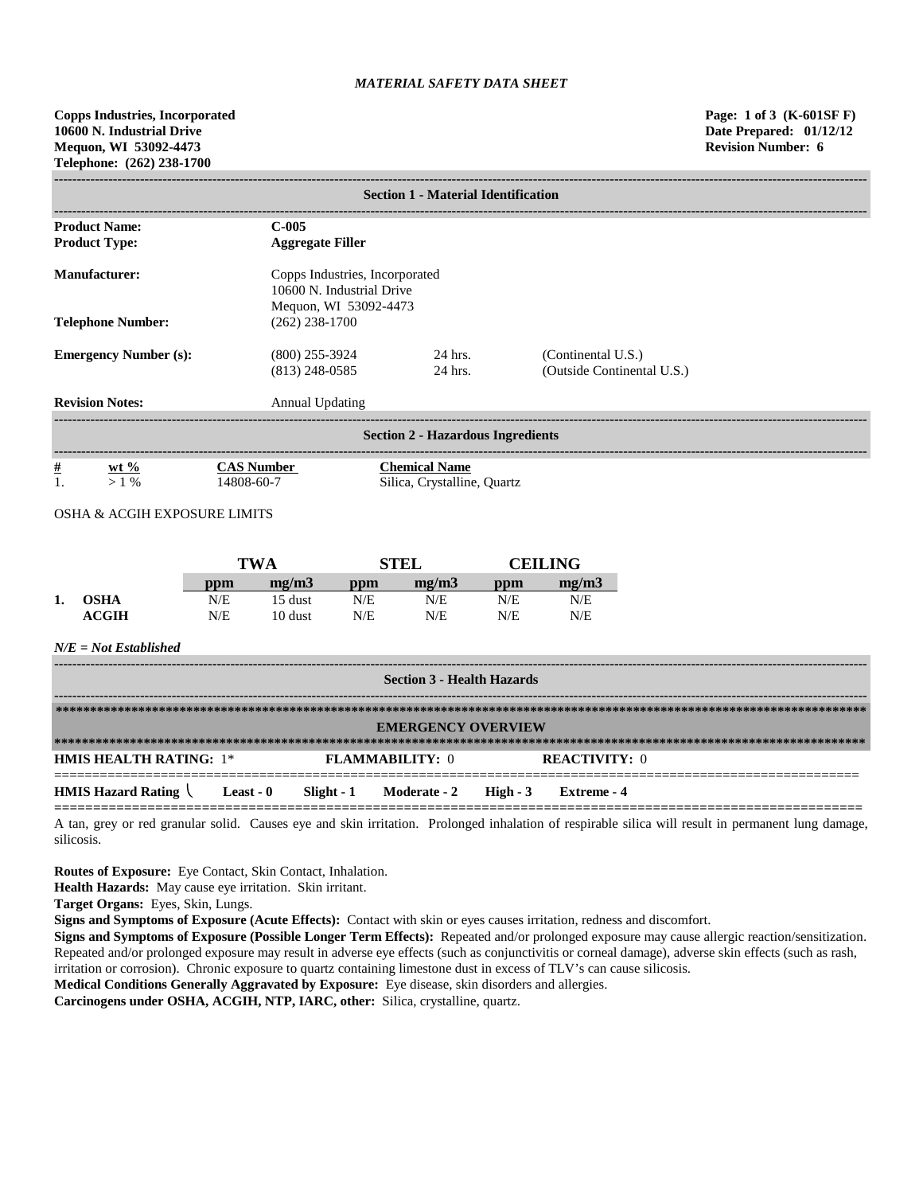| <b>Section 1 - Material Identification</b>                                                                   |                                      |                                                     |                                                  |  |  |  |  |
|--------------------------------------------------------------------------------------------------------------|--------------------------------------|-----------------------------------------------------|--------------------------------------------------|--|--|--|--|
| <b>Product Name:</b><br><b>Product Type:</b>                                                                 | $C-005$<br><b>Aggregate Filler</b>   |                                                     |                                                  |  |  |  |  |
| <b>Manufacturer:</b><br>Copps Industries, Incorporated<br>10600 N. Industrial Drive<br>Mequon, WI 53092-4473 |                                      |                                                     |                                                  |  |  |  |  |
| $(262)$ 238-1700<br><b>Telephone Number:</b>                                                                 |                                      |                                                     |                                                  |  |  |  |  |
| <b>Emergency Number (s):</b>                                                                                 | $(800)$ 255-3924<br>$(813)$ 248-0585 | 24 hrs.<br>24 hrs.                                  | (Continental U.S.)<br>(Outside Continental U.S.) |  |  |  |  |
| <b>Revision Notes:</b><br><b>Annual Updating</b>                                                             |                                      |                                                     |                                                  |  |  |  |  |
| <b>Section 2 - Hazardous Ingredients</b>                                                                     |                                      |                                                     |                                                  |  |  |  |  |
| $\frac{\#}{1}$<br>$wt %$<br>$>1\%$<br><b>OSHA &amp; ACGIH EXPOSURE LIMITS</b>                                | <b>CAS Number</b><br>14808-60-7      | <b>Chemical Name</b><br>Silica, Crystalline, Quartz |                                                  |  |  |  |  |

|    |              | TWA |         | STEL |       | <b>CEILING</b> |       |
|----|--------------|-----|---------|------|-------|----------------|-------|
|    |              | ppm | me/m3   | ppm  | me/m3 | ppm            | mg/m3 |
| ı. | <b>OSHA</b>  | N/E | 15 dust | N/E  | N/E   | N/E            | N/E   |
|    | <b>ACGIH</b> | N/E | 10 dust | N/E  | N/E   | N/E            | N/E   |

### *N/E = Not Established*

| <b>Section 3 - Health Hazards</b>                             |  |  |                        |  |                      |  |
|---------------------------------------------------------------|--|--|------------------------|--|----------------------|--|
| <b>EMERGENCY OVERVIEW</b>                                     |  |  |                        |  |                      |  |
| <b>HMIS HEALTH RATING: 1*</b>                                 |  |  | <b>FLAMMARILITY: 0</b> |  | <b>REACTIVITY:</b> 0 |  |
| HMIS Hazard Rating Least - 0 Slight - 1 Moderate - 2 High - 3 |  |  |                        |  | Extreme - 4          |  |

A tan, grey or red granular solid. Causes eye and skin irritation. Prolonged inhalation of respirable silica will result in permanent lung damage, silicosis.

**Routes of Exposure:** Eye Contact, Skin Contact, Inhalation.

**Health Hazards:** May cause eye irritation. Skin irritant.

**Target Organs:** Eyes, Skin, Lungs.

**Signs and Symptoms of Exposure (Acute Effects):** Contact with skin or eyes causes irritation, redness and discomfort.

**Signs and Symptoms of Exposure (Possible Longer Term Effects):** Repeated and/or prolonged exposure may cause allergic reaction/sensitization. Repeated and/or prolonged exposure may result in adverse eye effects (such as conjunctivitis or corneal damage), adverse skin effects (such as rash, irritation or corrosion). Chronic exposure to quartz containing limestone dust in excess of TLV's can cause silicosis.

**Medical Conditions Generally Aggravated by Exposure:** Eye disease, skin disorders and allergies.

**Carcinogens under OSHA, ACGIH, NTP, IARC, other:** Silica, crystalline, quartz.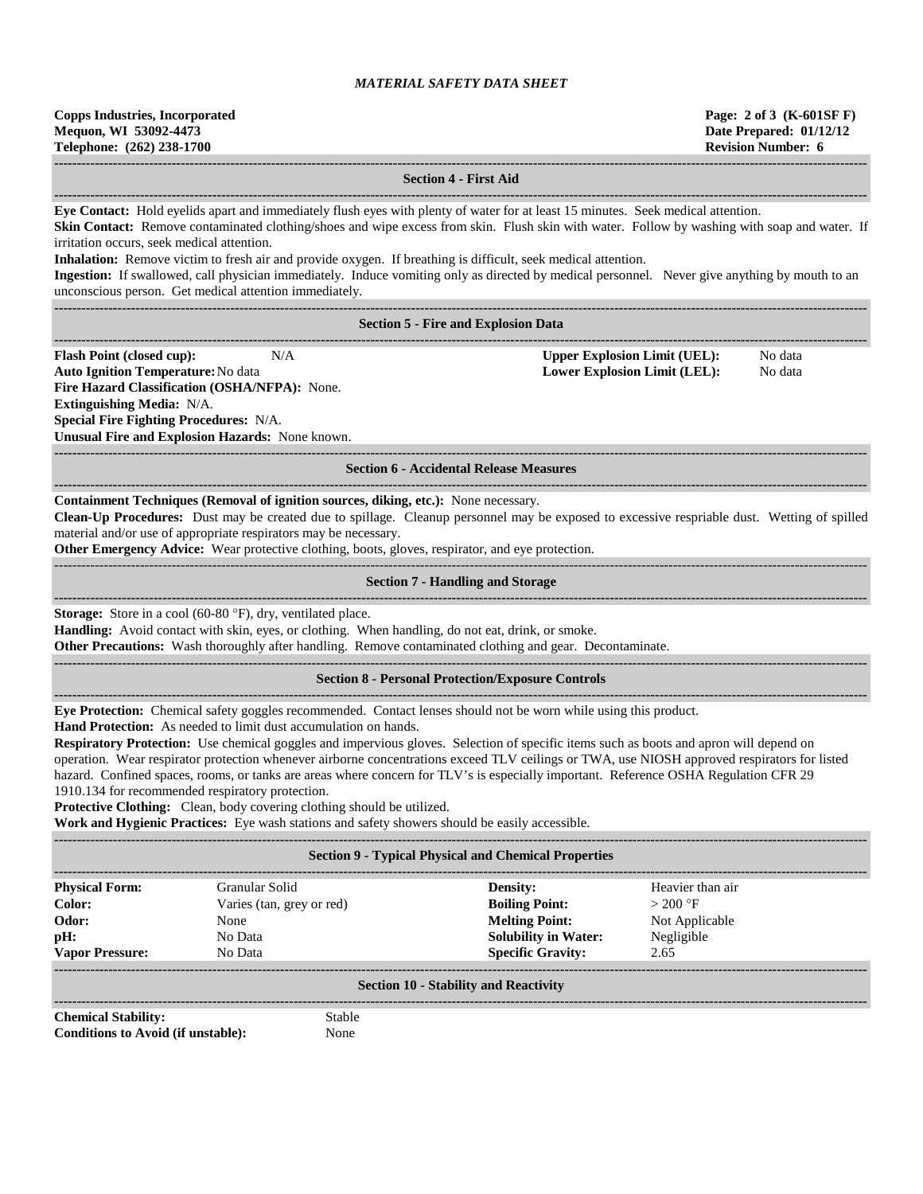| <b>Copps Industries, Incorporated</b> |  |  |  |  |  |
|---------------------------------------|--|--|--|--|--|
| Mequon, WI 53092-4473                 |  |  |  |  |  |
| Telephone: (262) 238-1700             |  |  |  |  |  |

**Copps Industries, Incorporated Page: 2 of 3 (K-601SF F)**

**Date Prepared: 01/12/12 Revision Number: 6 ------------------------------------------------------------------------------------------------------------------------------------------------------------------------------------ Section 4 - First Aid ------------------------------------------------------------------------------------------------------------------------------------------------------------------------------------ Eye Contact:** Hold eyelids apart and immediately flush eyes with plenty of water for at least 15 minutes. Seek medical attention. **Skin Contact:** Remove contaminated clothing/shoes and wipe excess from skin. Flush skin with water. Follow by washing with soap and water. If irritation occurs, seek medical attention. **Inhalation:** Remove victim to fresh air and provide oxygen. If breathing is difficult, seek medical attention. **Ingestion:** If swallowed, call physician immediately. Induce vomiting only as directed by medical personnel. Never give anything by mouth to an unconscious person. Get medical attention immediately. **------------------------------------------------------------------------------------------------------------------------------------------------------------------------------------ Section 5 - Fire and Explosion Data ------------------------------------------------------------------------------------------------------------------------------------------------------------------------------------ Flash Point (closed cup):** N/A **Upper Explosion Limit (UEL):** No data **Auto Ignition Temperature:**No data **Lower Explosion Limit (LEL):** No data **Fire Hazard Classification (OSHA/NFPA):** None. **Extinguishing Media:** N/A. **Special Fire Fighting Procedures:** N/A. **Unusual Fire and Explosion Hazards:** None known. **------------------------------------------------------------------------------------------------------------------------------------------------------------------------------------ Section 6 - Accidental Release Measures ------------------------------------------------------------------------------------------------------------------------------------------------------------------------------------ Containment Techniques (Removal of ignition sources, diking, etc.):** None necessary. **Clean-Up Procedures:** Dust may be created due to spillage. Cleanup personnel may be exposed to excessive respriable dust. Wetting of spilled material and/or use of appropriate respirators may be necessary. **Other Emergency Advice:** Wear protective clothing, boots, gloves, respirator, and eye protection. ------------------------------------------------------------------------------------------------------------------------------------------------------------------------------------ **Section 7 - Handling and Storage ------------------------------------------------------------------------------------------------------------------------------------------------------------------------------------ Storage:** Store in a cool (60-80 °F), dry, ventilated place. **Handling:** Avoid contact with skin, eyes, or clothing. When handling, do not eat, drink, or smoke. **Other Precautions:** Wash thoroughly after handling. Remove contaminated clothing and gear. Decontaminate. **------------------------------------------------------------------------------------------------------------------------------------------------------------------------------------ Section 8 - Personal Protection/Exposure Controls ------------------------------------------------------------------------------------------------------------------------------------------------------------------------------------ Eye Protection:** Chemical safety goggles recommended. Contact lenses should not be worn while using this product. **Hand Protection:** As needed to limit dust accumulation on hands. **Respiratory Protection:** Use chemical goggles and impervious gloves. Selection of specific items such as boots and apron will depend on operation. Wear respirator protection whenever airborne concentrations exceed TLV ceilings or TWA, use NIOSH approved respirators for listed hazard. Confined spaces, rooms, or tanks are areas where concern for TLV's is especially important. Reference OSHA Regulation CFR 29 1910.134 for recommended respiratory protection. **Protective Clothing:** Clean, body covering clothing should be utilized. **Work and Hygienic Practices:** Eye wash stations and safety showers should be easily accessible. **------------------------------------------------------------------------------------------------------------------------------------------------------------------------------------ Section 9 - Typical Physical and Chemical Properties ------------------------------------------------------------------------------------------------------------------------------------------------------------------------------------**

| <b>Physical Form:</b>                                  | Granular Solid            |                        | Density:                    | Heavier than air |  |  |  |
|--------------------------------------------------------|---------------------------|------------------------|-----------------------------|------------------|--|--|--|
| Color:                                                 | Varies (tan, grey or red) |                        | <b>Boiling Point:</b>       | $>200$ °F        |  |  |  |
| Odor:                                                  | None                      |                        | <b>Melting Point:</b>       | Not Applicable   |  |  |  |
| pH:                                                    | No Data                   |                        | <b>Solubility in Water:</b> | Negligible       |  |  |  |
| <b>Vapor Pressure:</b>                                 | No Data                   |                        | <b>Specific Gravity:</b>    | 2.65             |  |  |  |
| <b>Section 10 - Stability and Reactivity</b>           |                           |                        |                             |                  |  |  |  |
| <b>Chemical Stability:</b><br>$\sim$ $\cdots$ $\cdots$ | .                         | Stable<br>$\mathbf{r}$ |                             |                  |  |  |  |

**Conditions to Avoid (if unstable):** None